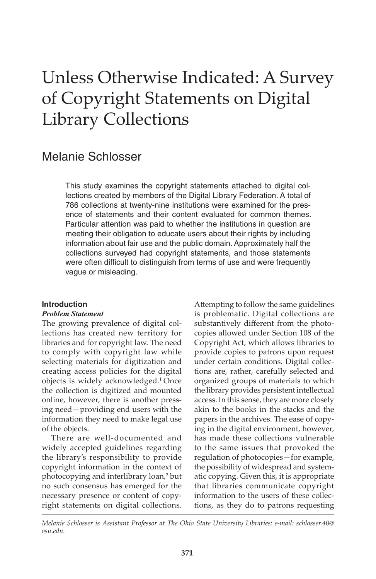# Unless Otherwise Indicated: A Survey of Copyright Statements on Digital Library Collections

## Melanie Schlosser

This study examines the copyright statements attached to digital collections created by members of the Digital Library Federation. A total of 786 collections at twenty-nine institutions were examined for the presence of statements and their content evaluated for common themes. Particular attention was paid to whether the institutions in question are meeting their obligation to educate users about their rights by including information about fair use and the public domain. Approximately half the collections surveyed had copyright statements, and those statements were often difficult to distinguish from terms of use and were frequently vague or misleading.

## **Introduction**

## *Problem Statement*

The growing prevalence of digital collections has created new territory for libraries and for copyright law. The need to comply with copyright law while selecting materials for digitization and creating access policies for the digital objects is widely acknowledged.1 Once the collection is digitized and mounted online, however, there is another pressing need—providing end users with the information they need to make legal use of the objects.

There are well-documented and widely accepted guidelines regarding the library's responsibility to provide copyright information in the context of photocopying and interlibrary loan,<sup>2</sup> but no such consensus has emerged for the necessary presence or content of copyright statements on digital collections.

Attempting to follow the same guidelines is problematic. Digital collections are substantively different from the photocopies allowed under Section 108 of the Copyright Act, which allows libraries to provide copies to patrons upon request under certain conditions. Digital collections are, rather, carefully selected and organized groups of materials to which the library provides persistent intellectual access. In this sense, they are more closely akin to the books in the stacks and the papers in the archives. The ease of copying in the digital environment, however, has made these collections vulnerable to the same issues that provoked the regulation of photocopies—for example, the possibility of widespread and systematic copying. Given this, it is appropriate that libraries communicate copyright information to the users of these collections, as they do to patrons requesting

*Melanie Schlosser is Assistant Professor at The Ohio State University Libraries; e-mail: schlosser.40@ osu.edu.*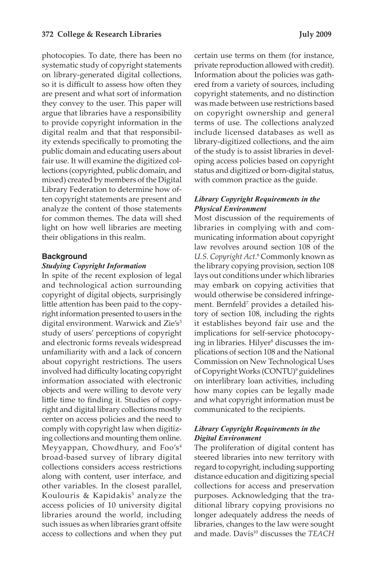photocopies. To date, there has been no systematic study of copyright statements on library-generated digital collections, so it is difficult to assess how often they are present and what sort of information they convey to the user. This paper will argue that libraries have a responsibility to provide copyright information in the digital realm and that that responsibility extends specifically to promoting the public domain and educating users about fair use. It will examine the digitized collections (copyrighted, public domain, and mixed) created by members of the Digital Library Federation to determine how often copyright statements are present and analyze the content of those statements for common themes. The data will shed light on how well libraries are meeting their obligations in this realm.

## **Background**

#### *Studying Copyright Information*

In spite of the recent explosion of legal and technological action surrounding copyright of digital objects, surprisingly little attention has been paid to the copyright information presented to users in the digital environment. Warwick and Zie's<sup>3</sup> study of users' perceptions of copyright and electronic forms reveals widespread unfamiliarity with and a lack of concern about copyright restrictions. The users involved had difficulty locating copyright information associated with electronic objects and were willing to devote very little time to finding it. Studies of copyright and digital library collections mostly center on access policies and the need to comply with copyright law when digitizing collections and mounting them online. Meyyappan, Chowdhury, and Foo's4 broad-based survey of library digital collections considers access restrictions along with content, user interface, and other variables. In the closest parallel, Koulouris & Kapidakis<sup>5</sup> analyze the access policies of 10 university digital libraries around the world, including such issues as when libraries grant offsite access to collections and when they put

certain use terms on them (for instance, private reproduction allowed with credit). Information about the policies was gathered from a variety of sources, including copyright statements, and no distinction was made between use restrictions based on copyright ownership and general terms of use. The collections analyzed include licensed databases as well as library-digitized collections, and the aim of the study is to assist libraries in developing access policies based on copyright status and digitized or born-digital status, with common practice as the guide.

## *Library Copyright Requirements in the Physical Environment*

Most discussion of the requirements of libraries in complying with and communicating information about copyright law revolves around section 108 of the U.S. Copyright Act.<sup>6</sup> Commonly known as the library copying provision, section 108 lays out conditions under which libraries may embark on copying activities that would otherwise be considered infringement. Bernfeld<sup>7</sup> provides a detailed history of section 108, including the rights it establishes beyond fair use and the implications for self-service photocopying in libraries. Hilyer<sup>8</sup> discusses the implications of section 108 and the National Commission on New Technological Uses of Copyright Works (CONTU)<sup>9</sup> guidelines on interlibrary loan activities, including how many copies can be legally made and what copyright information must be communicated to the recipients.

## *Library Copyright Requirements in the Digital Environment*

The proliferation of digital content has steered libraries into new territory with regard to copyright, including supporting distance education and digitizing special collections for access and preservation purposes. Acknowledging that the traditional library copying provisions no longer adequately address the needs of libraries, changes to the law were sought and made. Davis<sup>10</sup> discusses the TEACH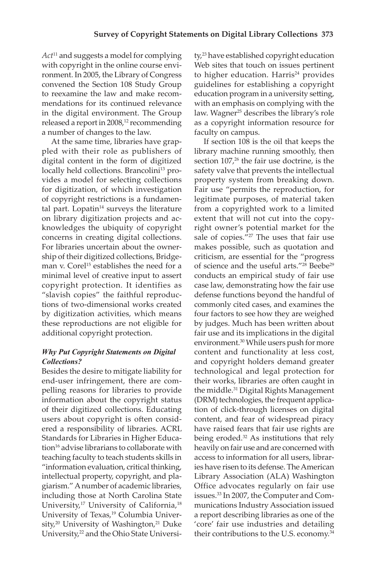*Act*<sup>11</sup> and suggests a model for complying with copyright in the online course environment. In 2005, the Library of Congress convened the Section 108 Study Group to reexamine the law and make recommendations for its continued relevance in the digital environment. The Group released a report in 2008,<sup>12</sup> recommending a number of changes to the law.

At the same time, libraries have grappled with their role as publishers of digital content in the form of digitized locally held collections. Brancolini<sup>13</sup> provides a model for selecting collections for digitization, of which investigation of copyright restrictions is a fundamental part. Lopatin $14$  surveys the literature on library digitization projects and acknowledges the ubiquity of copyright concerns in creating digital collections. For libraries uncertain about the ownership of their digitized collections, Bridgeman v. Corel<sup>15</sup> establishes the need for a minimal level of creative input to assert copyright protection. It identifies as "slavish copies" the faithful reproductions of two-dimensional works created by digitization activities, which means these reproductions are not eligible for additional copyright protection.

## *Why Put Copyright Statements on Digital Collections?*

Besides the desire to mitigate liability for end-user infringement, there are compelling reasons for libraries to provide information about the copyright status of their digitized collections. Educating users about copyright is often considered a responsibility of libraries. ACRL Standards for Libraries in Higher Education<sup>16</sup> advise librarians to collaborate with teaching faculty to teach students skills in "information evaluation, critical thinking, intellectual property, copyright, and plagiarism." A number of academic libraries, including those at North Carolina State University,<sup>17</sup> University of California,<sup>18</sup> University of Texas,<sup>19</sup> Columbia University,<sup>20</sup> University of Washington,<sup>21</sup> Duke University,<sup>22</sup> and the Ohio State University,<sup>23</sup> have established copyright education Web sites that touch on issues pertinent to higher education. Harris<sup>24</sup> provides guidelines for establishing a copyright education program in a university setting, with an emphasis on complying with the law. Wagner<sup>25</sup> describes the library's role as a copyright information resource for faculty on campus.

If section 108 is the oil that keeps the library machine running smoothly, then section 107,<sup>26</sup> the fair use doctrine, is the safety valve that prevents the intellectual property system from breaking down. Fair use "permits the reproduction, for legitimate purposes, of material taken from a copyrighted work to a limited extent that will not cut into the copyright owner's potential market for the sale of copies."<sup>27</sup> The uses that fair use makes possible, such as quotation and criticism, are essential for the "progress of science and the useful arts."<sup>28</sup> Beebe<sup>29</sup> conducts an empirical study of fair use case law, demonstrating how the fair use defense functions beyond the handful of commonly cited cases, and examines the four factors to see how they are weighed by judges. Much has been written about fair use and its implications in the digital environment.<sup>30</sup> While users push for more content and functionality at less cost, and copyright holders demand greater technological and legal protection for their works, libraries are often caught in the middle.<sup>31</sup> Digital Rights Management (DRM) technologies, the frequent application of click-through licenses on digital content, and fear of widespread piracy have raised fears that fair use rights are being eroded.<sup>32</sup> As institutions that rely heavily on fair use and are concerned with access to information for all users, libraries have risen to its defense. The American Library Association (ALA) Washington Office advocates regularly on fair use issues.<sup>33</sup> In 2007, the Computer and Communications Industry Association issued a report describing libraries as one of the 'core' fair use industries and detailing their contributions to the U.S. economy.<sup>34</sup>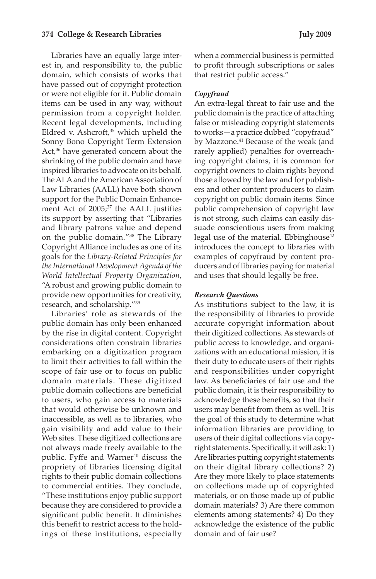Libraries have an equally large interest in, and responsibility to, the public domain, which consists of works that have passed out of copyright protection or were not eligible for it. Public domain items can be used in any way, without permission from a copyright holder. Recent legal developments, including Eldred v. Ashcroft, $35$  which upheld the Sonny Bono Copyright Term Extension Act,<sup>36</sup> have generated concern about the shrinking of the public domain and have inspired libraries to advocate on its behalf. The ALA and the American Association of Law Libraries (AALL) have both shown support for the Public Domain Enhancement Act of 2005;<sup>37</sup> the AALL justifies its support by asserting that "Libraries and library patrons value and depend on the public domain."38 The Library Copyright Alliance includes as one of its goals for the *Library-Related Principles for the International Development Agenda of the World Intellectual Property Organization*, "A robust and growing public domain to provide new opportunities for creativity, research, and scholarship."39

Libraries' role as stewards of the public domain has only been enhanced by the rise in digital content. Copyright considerations often constrain libraries embarking on a digitization program to limit their activities to fall within the scope of fair use or to focus on public domain materials. These digitized public domain collections are beneficial to users, who gain access to materials that would otherwise be unknown and inaccessible, as well as to libraries, who gain visibility and add value to their Web sites. These digitized collections are not always made freely available to the public. Fyffe and Warner<sup>40</sup> discuss the propriety of libraries licensing digital rights to their public domain collections to commercial entities. They conclude, "These institutions enjoy public support because they are considered to provide a significant public benefit. It diminishes this benefit to restrict access to the holdings of these institutions, especially when a commercial business is permitted to profit through subscriptions or sales that restrict public access."

#### *Copyfraud*

An extra-legal threat to fair use and the public domain is the practice of attaching false or misleading copyright statements to works—a practice dubbed "copyfraud" by Mazzone.<sup>41</sup> Because of the weak (and rarely applied) penalties for overreaching copyright claims, it is common for copyright owners to claim rights beyond those allowed by the law and for publishers and other content producers to claim copyright on public domain items. Since public comprehension of copyright law is not strong, such claims can easily dissuade conscientious users from making legal use of the material. Ebbinghouse<sup>42</sup> introduces the concept to libraries with examples of copyfraud by content producers and of libraries paying for material and uses that should legally be free.

## *Research Questions*

As institutions subject to the law, it is the responsibility of libraries to provide accurate copyright information about their digitized collections. As stewards of public access to knowledge, and organizations with an educational mission, it is their duty to educate users of their rights and responsibilities under copyright law. As beneficiaries of fair use and the public domain, it is their responsibility to acknowledge these benefits, so that their users may benefit from them as well. It is the goal of this study to determine what information libraries are providing to users of their digital collections via copyright statements. Specifically, it will ask: 1) Are libraries putting copyright statements on their digital library collections? 2) Are they more likely to place statements on collections made up of copyrighted materials, or on those made up of public domain materials? 3) Are there common elements among statements? 4) Do they acknowledge the existence of the public domain and of fair use?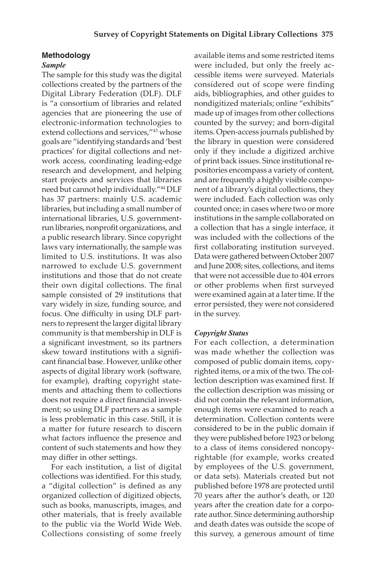## **Methodology**

## *Sample*

The sample for this study was the digital collections created by the partners of the Digital Library Federation (DLF). DLF is "a consortium of libraries and related agencies that are pioneering the use of electronic-information technologies to extend collections and services,"43 whose goals are "identifying standards and 'best practices' for digital collections and network access, coordinating leading-edge research and development, and helping start projects and services that libraries need but cannot help individually."44 DLF has 37 partners: mainly U.S. academic libraries, but including a small number of international libraries, U.S. governmentrun libraries, nonprofit organizations, and a public research library. Since copyright laws vary internationally, the sample was limited to U.S. institutions. It was also narrowed to exclude U.S. government institutions and those that do not create their own digital collections. The final sample consisted of 29 institutions that vary widely in size, funding source, and focus. One difficulty in using DLF partners to represent the larger digital library community is that membership in DLF is a significant investment, so its partners skew toward institutions with a significant financial base. However, unlike other aspects of digital library work (software, for example), drafting copyright statements and attaching them to collections does not require a direct financial investment; so using DLF partners as a sample is less problematic in this case. Still, it is a matter for future research to discern what factors influence the presence and content of such statements and how they may differ in other settings.

For each institution, a list of digital collections was identified. For this study, a "digital collection" is defined as any organized collection of digitized objects, such as books, manuscripts, images, and other materials, that is freely available to the public via the World Wide Web. Collections consisting of some freely available items and some restricted items were included, but only the freely accessible items were surveyed. Materials considered out of scope were finding aids, bibliographies, and other guides to nondigitized materials; online "exhibits" made up of images from other collections counted by the survey; and born-digital items. Open-access journals published by the library in question were considered only if they include a digitized archive of print back issues. Since institutional repositories encompass a variety of content, and are frequently a highly visible component of a library's digital collections, they were included. Each collection was only counted once; in cases where two or more institutions in the sample collaborated on a collection that has a single interface, it was included with the collections of the first collaborating institution surveyed. Data were gathered between October 2007 and June 2008; sites, collections, and items that were not accessible due to 404 errors or other problems when first surveyed were examined again at a later time. If the error persisted, they were not considered in the survey.

## *Copyright Status*

For each collection, a determination was made whether the collection was composed of public domain items, copyrighted items, or a mix of the two. The collection description was examined first. If the collection description was missing or did not contain the relevant information, enough items were examined to reach a determination. Collection contents were considered to be in the public domain if they were published before 1923 or belong to a class of items considered noncopyrightable (for example, works created by employees of the U.S. government, or data sets). Materials created but not published before 1978 are protected until 70 years after the author's death, or 120 years after the creation date for a corporate author. Since determining authorship and death dates was outside the scope of this survey, a generous amount of time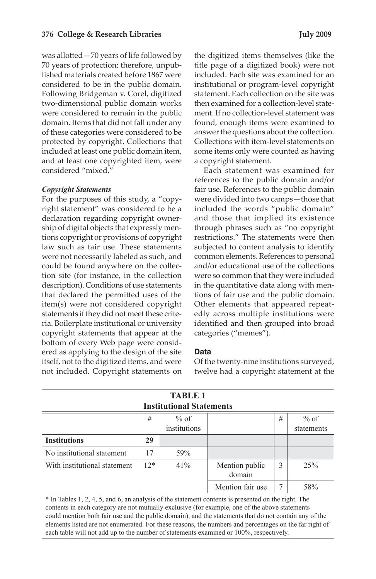was allotted—70 years of life followed by 70 years of protection; therefore, unpublished materials created before 1867 were considered to be in the public domain. Following Bridgeman v. Corel, digitized two-dimensional public domain works were considered to remain in the public domain. Items that did not fall under any of these categories were considered to be protected by copyright. Collections that included at least one public domain item, and at least one copyrighted item, were considered "mixed."

## *Copyright Statements*

For the purposes of this study, a "copyright statement" was considered to be a declaration regarding copyright ownership of digital objects that expressly mentions copyright or provisions of copyright law such as fair use. These statements were not necessarily labeled as such, and could be found anywhere on the collection site (for instance, in the collection description). Conditions of use statements that declared the permitted uses of the item(s) were not considered copyright statements if they did not meet these criteria. Boilerplate institutional or university copyright statements that appear at the bottom of every Web page were considered as applying to the design of the site itself, not to the digitized items, and were not included. Copyright statements on the digitized items themselves (like the title page of a digitized book) were not included. Each site was examined for an institutional or program-level copyright statement. Each collection on the site was then examined for a collection-level statement. If no collection-level statement was found, enough items were examined to answer the questions about the collection. Collections with item-level statements on some items only were counted as having a copyright statement.

Each statement was examined for references to the public domain and/or fair use. References to the public domain were divided into two camps—those that included the words "public domain" and those that implied its existence through phrases such as "no copyright restrictions." The statements were then subjected to content analysis to identify common elements. References to personal and/or educational use of the collections were so common that they were included in the quantitative data along with mentions of fair use and the public domain. Other elements that appeared repeatedly across multiple institutions were identified and then grouped into broad categories ("memes").

## **Data**

Of the twenty-nine institutions surveyed, twelve had a copyright statement at the

| <b>TABLE 1</b>                                                                                                                                                                                                                                                                                            |       |              |                  |   |            |  |  |
|-----------------------------------------------------------------------------------------------------------------------------------------------------------------------------------------------------------------------------------------------------------------------------------------------------------|-------|--------------|------------------|---|------------|--|--|
| <b>Institutional Statements</b>                                                                                                                                                                                                                                                                           |       |              |                  |   |            |  |  |
|                                                                                                                                                                                                                                                                                                           | #     | $%$ of       |                  | # | $%$ of     |  |  |
|                                                                                                                                                                                                                                                                                                           |       | institutions |                  |   | statements |  |  |
| <b>Institutions</b>                                                                                                                                                                                                                                                                                       | 29    |              |                  |   |            |  |  |
| No institutional statement                                                                                                                                                                                                                                                                                | 17    | 59%          |                  |   |            |  |  |
| With institutional statement                                                                                                                                                                                                                                                                              | $12*$ | 41%          | Mention public   | 3 | 25%        |  |  |
| domain                                                                                                                                                                                                                                                                                                    |       |              |                  |   |            |  |  |
|                                                                                                                                                                                                                                                                                                           |       |              | Mention fair use |   | 58%        |  |  |
| * In Tables 1, 2, 4, 5, and 6, an analysis of the statement contents is presented on the right. The<br>contents in each category are not mutually exclusive (for example, one of the above statements                                                                                                     |       |              |                  |   |            |  |  |
| could mention both fair use and the public domain), and the statements that do not contain any of the<br>elements listed are not enumerated. For these reasons, the numbers and percentages on the far right of<br>each table will not add up to the number of statements examined or 100%, respectively. |       |              |                  |   |            |  |  |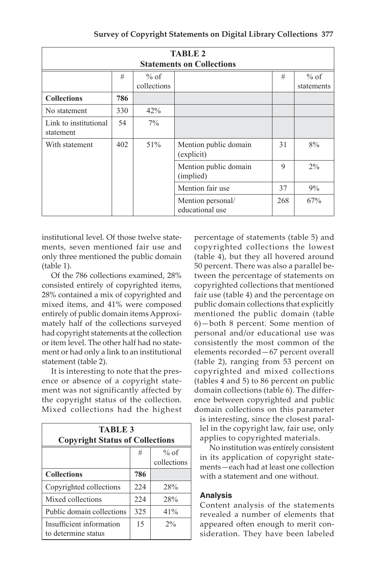| <b>TABLE 2</b><br><b>Statements on Collections</b> |     |                       |                                      |     |                      |  |  |
|----------------------------------------------------|-----|-----------------------|--------------------------------------|-----|----------------------|--|--|
|                                                    | #   | $%$ of<br>collections |                                      | #   | $%$ of<br>statements |  |  |
| <b>Collections</b>                                 | 786 |                       |                                      |     |                      |  |  |
| No statement                                       | 330 | 42%                   |                                      |     |                      |  |  |
| Link to institutional<br>statement                 | 54  | 7%                    |                                      |     |                      |  |  |
| With statement                                     | 402 | 51%                   | Mention public domain<br>(explicit)  | 31  | 8%                   |  |  |
|                                                    |     |                       | Mention public domain<br>(implied)   | 9   | $2\%$                |  |  |
|                                                    |     |                       | Mention fair use                     | 37  | 9%                   |  |  |
|                                                    |     |                       | Mention personal/<br>educational use | 268 | 67%                  |  |  |

institutional level. Of those twelve statements, seven mentioned fair use and only three mentioned the public domain (table 1).

Of the 786 collections examined, 28% consisted entirely of copyrighted items, 28% contained a mix of copyrighted and mixed items, and 41% were composed entirely of public domain items Approximately half of the collections surveyed had copyright statements at the collection or item level. The other half had no statement or had only a link to an institutional statement (table 2).

It is interesting to note that the presence or absence of a copyright statement was not significantly affected by the copyright status of the collection. Mixed collections had the highest

| <b>TABLE 3</b><br><b>Copyright Status of Collections</b> |      |                       |  |  |  |
|----------------------------------------------------------|------|-----------------------|--|--|--|
|                                                          | #    | $%$ of<br>collections |  |  |  |
| <b>Collections</b>                                       | 786  |                       |  |  |  |
| Copyrighted collections                                  | 22.4 | 28%                   |  |  |  |
| Mixed collections                                        | 22.4 | 28%                   |  |  |  |
| Public domain collections                                | 325  | 41%                   |  |  |  |
| Insufficient information<br>to determine status          | 15   | 2%                    |  |  |  |

percentage of statements (table 5) and copyrighted collections the lowest (table 4), but they all hovered around 50 percent. There was also a parallel between the percentage of statements on copyrighted collections that mentioned fair use (table 4) and the percentage on public domain collections that explicitly mentioned the public domain (table 6)—both 8 percent. Some mention of personal and/or educational use was consistently the most common of the elements recorded—67 percent overall (table 2), ranging from 53 percent on copyrighted and mixed collections (tables 4 and 5) to 86 percent on public domain collections (table 6). The difference between copyrighted and public domain collections on this parameter

is interesting, since the closest parallel in the copyright law, fair use, only applies to copyrighted materials.

No institution was entirely consistent in its application of copyright statements—each had at least one collection with a statement and one without.

## **Analysis**

Content analysis of the statements revealed a number of elements that appeared often enough to merit consideration. They have been labeled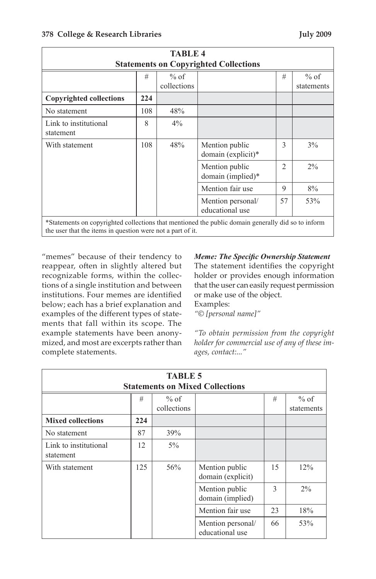| <b>TABLE 4</b>                                                                                     |     |             |                                      |                |            |  |
|----------------------------------------------------------------------------------------------------|-----|-------------|--------------------------------------|----------------|------------|--|
| <b>Statements on Copyrighted Collections</b>                                                       |     |             |                                      |                |            |  |
|                                                                                                    | #   | $%$ of      |                                      | #              | $%$ of     |  |
|                                                                                                    |     | collections |                                      |                | statements |  |
| <b>Copyrighted collections</b>                                                                     | 224 |             |                                      |                |            |  |
| No statement                                                                                       | 108 | 48%         |                                      |                |            |  |
| Link to institutional<br>statement                                                                 | 8   | $4\%$       |                                      |                |            |  |
| With statement                                                                                     | 108 | 48%         | Mention public<br>domain (explicit)* | 3              | 3%         |  |
|                                                                                                    |     |             | Mention public<br>domain (implied)*  | $\mathfrak{D}$ | $2\%$      |  |
|                                                                                                    |     |             | Mention fair use                     | 9              | 8%         |  |
|                                                                                                    |     |             | Mention personal/<br>educational use | 57             | 53%        |  |
| *Statements on convrighted collections that mentioned the public domain generally did so to inform |     |             |                                      |                |            |  |

\*Statements on copyrighted collections that mentioned the public domain generally did so to inform the user that the items in question were not a part of it.

"memes" because of their tendency to reappear, often in slightly altered but recognizable forms, within the collections of a single institution and between institutions. Four memes are identified below; each has a brief explanation and examples of the different types of statements that fall within its scope. The example statements have been anonymized, and most are excerpts rather than complete statements.

## *Meme: The Specific Ownership Statement*

The statement identifies the copyright holder or provides enough information that the user can easily request permission or make use of the object.

Examples: *"© [personal name]"*

*"To obtain permission from the copyright holder for commercial use of any of these images, contact:..."*

| <b>TABLE 5</b><br><b>Statements on Mixed Collections</b> |     |                       |                                      |               |                      |  |
|----------------------------------------------------------|-----|-----------------------|--------------------------------------|---------------|----------------------|--|
|                                                          | #   | $%$ of<br>collections |                                      | #             | $%$ of<br>statements |  |
| <b>Mixed collections</b>                                 | 224 |                       |                                      |               |                      |  |
| No statement                                             | 87  | 39%                   |                                      |               |                      |  |
| Link to institutional<br>statement                       | 12  | $5\%$                 |                                      |               |                      |  |
| With statement                                           | 125 | 56%                   | Mention public<br>domain (explicit)  | 15            | 12%                  |  |
|                                                          |     |                       | Mention public<br>domain (implied)   | $\mathcal{E}$ | $2\%$                |  |
|                                                          |     |                       | Mention fair use                     | 23            | 18%                  |  |
|                                                          |     |                       | Mention personal/<br>educational use | 66            | 53%                  |  |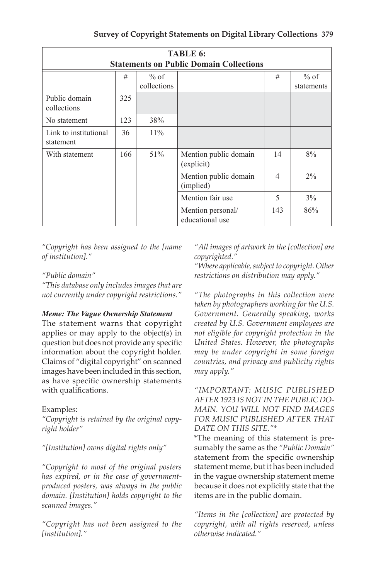| TABLE 6:<br><b>Statements on Public Domain Collections</b> |     |                       |                                      |                |                      |  |
|------------------------------------------------------------|-----|-----------------------|--------------------------------------|----------------|----------------------|--|
|                                                            | #   | $%$ of<br>collections |                                      | #              | $%$ of<br>statements |  |
| Public domain<br>collections                               | 325 |                       |                                      |                |                      |  |
| No statement                                               | 123 | 38%                   |                                      |                |                      |  |
| Link to institutional<br>statement                         | 36  | $11\%$                |                                      |                |                      |  |
| With statement                                             | 166 | 51%                   | Mention public domain<br>(explicit)  | 14             | 8%                   |  |
|                                                            |     |                       | Mention public domain<br>(implied)   | $\overline{4}$ | $2\%$                |  |
|                                                            |     |                       | Mention fair use                     | 5              | 3%                   |  |
|                                                            |     |                       | Mention personal/<br>educational use | 143            | 86%                  |  |

*"Copyright has been assigned to the [name of institution]."*

## *"Public domain"*

*"This database only includes images that are not currently under copyright restrictions."*

## *Meme: The Vague Ownership Statement*

The statement warns that copyright applies or may apply to the object(s) in question but does not provide any specific information about the copyright holder. Claims of "digital copyright" on scanned images have been included in this section, as have specific ownership statements with qualifications.

## Examples:

*"Copyright is retained by the original copyright holder"*

*"[Institution] owns digital rights only"*

*"Copyright to most of the original posters has expired, or in the case of governmentproduced posters, was always in the public domain. [Institution] holds copyright to the scanned images."*

*"Copyright has not been assigned to the [institution]."*

*"All images of artwork in the [collection] are copyrighted."*

*"Where applicable, subject to copyright. Other restrictions on distribution may apply."*

*"The photographs in this collection were taken by photographers working for the U.S. Government. Generally speaking, works created by U.S. Government employees are not eligible for copyright protection in the United States. However, the photographs may be under copyright in some foreign countries, and privacy and publicity rights may apply."*

## *"IMPORTANT: MUSIC PUBLISHED AFTER 1923 IS NOT IN THE PUBLIC DO-MAIN. YOU WILL NOT FIND IMAGES FOR MUSIC PUBLISHED AFTER THAT DATE ON THIS SITE."\**

\*The meaning of this statement is presumably the same as the *"Public Domain"* statement from the specific ownership statement meme, but it has been included in the vague ownership statement meme because it does not explicitly state that the items are in the public domain.

*"Items in the [collection] are protected by copyright, with all rights reserved, unless otherwise indicated."*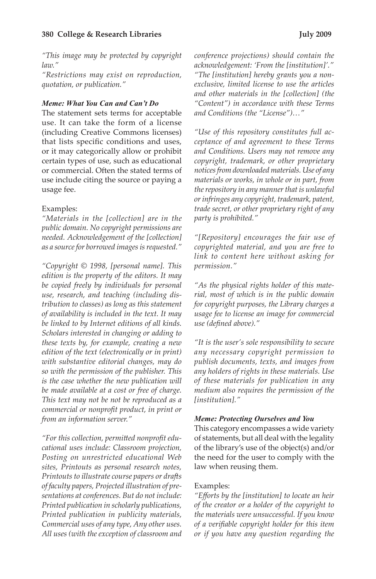*"This image may be protected by copyright law."*

*"Restrictions may exist on reproduction, quotation, or publication."*

#### *Meme: What You Can and Can't Do*

The statement sets terms for acceptable use. It can take the form of a license (including Creative Commons licenses) that lists specific conditions and uses, or it may categorically allow or prohibit certain types of use, such as educational or commercial. Often the stated terms of use include citing the source or paying a usage fee.

#### Examples:

*"Materials in the [collection] are in the public domain. No copyright permissions are needed. Acknowledgement of the [collection] as a source for borrowed images is requested."*

*"Copyright © 1998, [personal name]. This edition is the property of the editors. It may be copied freely by individuals for personal use, research, and teaching (including distribution to classes) as long as this statement of availability is included in the text. It may be linked to by Internet editions of all kinds. Scholars interested in changing or adding to these texts by, for example, creating a new edition of the text (electronically or in print) with substantive editorial changes, may do so with the permission of the publisher. This is the case whether the new publication will be made available at a cost or free of charge. This text may not be not be reproduced as a commercial or nonprofit product, in print or from an information server."*

*"For this collection, permitted nonprofit educational uses include: Classroom projection, Posting on unrestricted educational Web sites, Printouts as personal research notes, Printouts to illustrate course papers or drafts of faculty papers, Projected illustration of presentations at conferences. But do not include: Printed publication in scholarly publications, Printed publication in publicity materials, Commercial uses of any type, Any other uses. All uses (with the exception of classroom and*  *conference projections) should contain the acknowledgement: 'From the [institution]'." "The [institution] hereby grants you a nonexclusive, limited license to use the articles and other materials in the [collection] (the "Content") in accordance with these Terms and Conditions (the "License")…"*

*"Use of this repository constitutes full acceptance of and agreement to these Terms and Conditions. Users may not remove any copyright, trademark, or other proprietary notices from downloaded materials. Use of any materials or works, in whole or in part, from the repository in any manner that is unlawful or infringes any copyright, trademark, patent, trade secret, or other proprietary right of any party is prohibited."*

*"[Repository] encourages the fair use of copyrighted material, and you are free to link to content here without asking for permission."*

*"As the physical rights holder of this material, most of which is in the public domain for copyright purposes, the Library charges a usage fee to license an image for commercial use (defined above)."*

*"It is the user's sole responsibility to secure any necessary copyright permission to publish documents, texts, and images from any holders of rights in these materials. Use of these materials for publication in any medium also requires the permission of the [institution]."*

#### *Meme: Protecting Ourselves and You*

This category encompasses a wide variety of statements, but all deal with the legality of the library's use of the object(s) and/or the need for the user to comply with the law when reusing them.

#### Examples:

*"Efforts by the [institution] to locate an heir of the creator or a holder of the copyright to the materials were unsuccessful. If you know of a verifiable copyright holder for this item or if you have any question regarding the*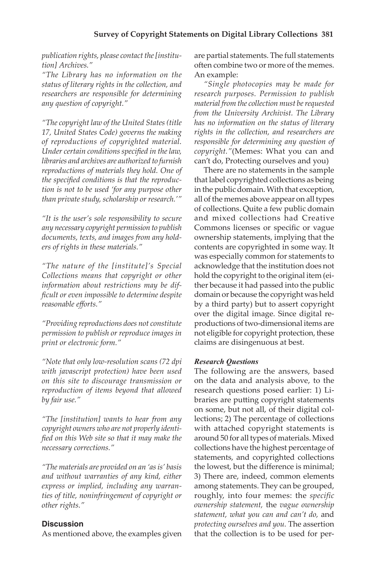*publication rights, please contact the [institution] Archives."*

*"The Library has no information on the status of literary rights in the collection, and researchers are responsible for determining any question of copyright."*

*"The copyright law of the United States (title 17, United States Code) governs the making of reproductions of copyrighted material. Under certain conditions specified in the law, libraries and archives are authorized to furnish reproductions of materials they hold. One of the specified conditions is that the reproduction is not to be used 'for any purpose other than private study, scholarship or research.'"*

*"It is the user's sole responsibility to secure any necessary copyright permission to publish documents, texts, and images from any holders of rights in these materials."*

*"The nature of the [institute]'s Special Collections means that copyright or other information about restrictions may be difficult or even impossible to determine despite reasonable efforts."*

*"Providing reproductions does not constitute permission to publish or reproduce images in print or electronic form."*

*"Note that only low-resolution scans (72 dpi with javascript protection) have been used on this site to discourage transmission or reproduction of items beyond that allowed by fair use."*

*"The [institution] wants to hear from any copyright owners who are not properly identified on this Web site so that it may make the necessary corrections."*

*"The materials are provided on an 'as is' basis and without warranties of any kind, either express or implied, including any warranties of title, noninfringement of copyright or other rights."*

## **Discussion**

As mentioned above, the examples given

are partial statements. The full statements often combine two or more of the memes. An example:

*"Single photocopies may be made for research purposes. Permission to publish material from the collection must be requested from the University Archivist. The Library has no information on the status of literary rights in the collection, and researchers are responsible for determining any question of copyright."*(Memes: What you can and can't do, Protecting ourselves and you)

There are no statements in the sample that label copyrighted collections as being in the public domain. With that exception, all of the memes above appear on all types of collections. Quite a few public domain and mixed collections had Creative Commons licenses or specific or vague ownership statements, implying that the contents are copyrighted in some way. It was especially common for statements to acknowledge that the institution does not hold the copyright to the original item (either because it had passed into the public domain or because the copyright was held by a third party) but to assert copyright over the digital image. Since digital reproductions of two-dimensional items are not eligible for copyright protection, these claims are disingenuous at best.

## *Research Questions*

The following are the answers, based on the data and analysis above, to the research questions posed earlier: 1) Libraries are putting copyright statements on some, but not all, of their digital collections; 2) The percentage of collections with attached copyright statements is around 50 for all types of materials. Mixed collections have the highest percentage of statements, and copyrighted collections the lowest, but the difference is minimal; 3) There are, indeed, common elements among statements. They can be grouped, roughly, into four memes: the *specific ownership statement,* the *vague ownership statement, what you can and can't do,* and *protecting ourselves and you.* The assertion that the collection is to be used for per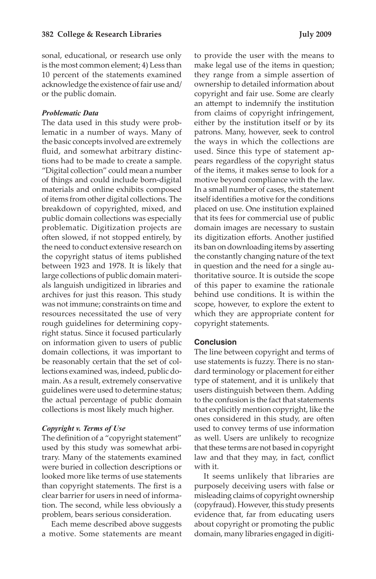sonal, educational, or research use only is the most common element; 4) Less than 10 percent of the statements examined acknowledge the existence of fair use and/ or the public domain.

### *Problematic Data*

The data used in this study were problematic in a number of ways. Many of the basic concepts involved are extremely fluid, and somewhat arbitrary distinctions had to be made to create a sample. "Digital collection" could mean a number of things and could include born-digital materials and online exhibits composed of items from other digital collections. The breakdown of copyrighted, mixed, and public domain collections was especially problematic. Digitization projects are often slowed, if not stopped entirely, by the need to conduct extensive research on the copyright status of items published between 1923 and 1978. It is likely that large collections of public domain materials languish undigitized in libraries and archives for just this reason. This study was not immune; constraints on time and resources necessitated the use of very rough guidelines for determining copyright status. Since it focused particularly on information given to users of public domain collections, it was important to be reasonably certain that the set of collections examined was, indeed, public domain. As a result, extremely conservative guidelines were used to determine status; the actual percentage of public domain collections is most likely much higher.

## *Copyright v. Terms of Use*

The definition of a "copyright statement" used by this study was somewhat arbitrary. Many of the statements examined were buried in collection descriptions or looked more like terms of use statements than copyright statements. The first is a clear barrier for users in need of information. The second, while less obviously a problem, bears serious consideration.

Each meme described above suggests a motive. Some statements are meant

to provide the user with the means to make legal use of the items in question; they range from a simple assertion of ownership to detailed information about copyright and fair use. Some are clearly an attempt to indemnify the institution from claims of copyright infringement, either by the institution itself or by its patrons. Many, however, seek to control the ways in which the collections are used. Since this type of statement appears regardless of the copyright status of the items, it makes sense to look for a motive beyond compliance with the law. In a small number of cases, the statement itself identifies a motive for the conditions placed on use. One institution explained that its fees for commercial use of public domain images are necessary to sustain its digitization efforts. Another justified its ban on downloading items by asserting the constantly changing nature of the text in question and the need for a single authoritative source. It is outside the scope of this paper to examine the rationale behind use conditions. It is within the scope, however, to explore the extent to which they are appropriate content for copyright statements.

### **Conclusion**

The line between copyright and terms of use statements is fuzzy. There is no standard terminology or placement for either type of statement, and it is unlikely that users distinguish between them. Adding to the confusion is the fact that statements that explicitly mention copyright, like the ones considered in this study, are often used to convey terms of use information as well. Users are unlikely to recognize that these terms are not based in copyright law and that they may, in fact, conflict with it.

It seems unlikely that libraries are purposely deceiving users with false or misleading claims of copyright ownership (copyfraud). However, this study presents evidence that, far from educating users about copyright or promoting the public domain, many libraries engaged in digiti-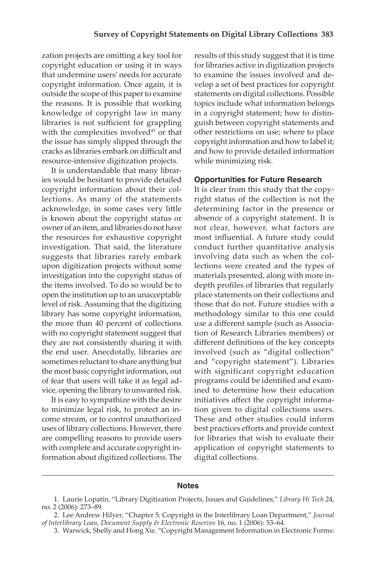zation projects are omitting a key tool for copyright education or using it in ways that undermine users' needs for accurate copyright information. Once again, it is outside the scope of this paper to examine the reasons. It is possible that working knowledge of copyright law in many libraries is not sufficient for grappling with the complexities involved<sup>45</sup> or that the issue has simply slipped through the cracks as libraries embark on difficult and resource-intensive digitization projects.

It is understandable that many libraries would be hesitant to provide detailed copyright information about their collections. As many of the statements acknowledge, in some cases very little is known about the copyright status or owner of an item, and libraries do not have the resources for exhaustive copyright investigation. That said, the literature suggests that libraries rarely embark upon digitization projects without some investigation into the copyright status of the items involved. To do so would be to open the institution up to an unacceptable level of risk. Assuming that the digitizing library has some copyright information, the more than 40 percent of collections with no copyright statement suggest that they are not consistently sharing it with the end user. Anecdotally, libraries are sometimes reluctant to share anything but the most basic copyright information, out of fear that users will take it as legal advice, opening the library to unwanted risk.

It is easy to sympathize with the desire to minimize legal risk, to protect an income stream, or to control unauthorized uses of library collections. However, there are compelling reasons to provide users with complete and accurate copyright information about digitized collections. The

results of this study suggest that it is time for libraries active in digitization projects to examine the issues involved and develop a set of best practices for copyright statements on digital collections. Possible topics include what information belongs in a copyright statement; how to distinguish between copyright statements and other restrictions on use; where to place copyright information and how to label it; and how to provide detailed information while minimizing risk.

## **Opportunities for Future Research**

It is clear from this study that the copyright status of the collection is not the determining factor in the presence or absence of a copyright statement. It is not clear, however, what factors are most influential. A future study could conduct further quantitative analysis involving data such as when the collections were created and the types of materials presented, along with more indepth profiles of libraries that regularly place statements on their collections and those that do not. Future studies with a methodology similar to this one could use a different sample (such as Association of Research Libraries members) or different definitions of the key concepts involved (such as "digital collection" and "copyright statement"). Libraries with significant copyright education programs could be identified and examined to determine how their education initiatives affect the copyright information given to digital collections users. These and other studies could inform best practices efforts and provide context for libraries that wish to evaluate their application of copyright statements to digital collections.

## **Notes**

 <sup>1.</sup> Laurie Lopatin, "Library Digitization Projects, Issues and Guidelines," *Library Hi Tech* 24, no. 2 (2006): 273–89.

 <sup>2.</sup> Lee Andrew Hilyer, "Chapter 5: Copyright in the Interlibrary Loan Department," *Journal of Interlibrary Loan, Document Supply & Electronic Reserves* 16, no. 1 (2006): 53–64.

 <sup>3.</sup> Warwick, Shelly and Hong Xie. "Copyright Management Information in Electronic Forms: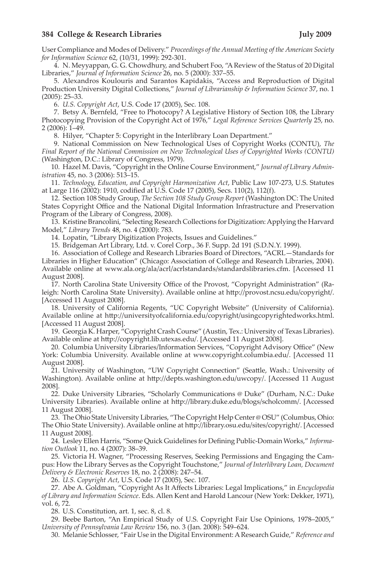User Compliance and Modes of Delivery." *Proceedings of the Annual Meeting of the American Society for Information Science* 62, (10/31, 1999): 292-301.

 4. N. Meyyappan, G. G. Chowdhury, and Schubert Foo, "A Review of the Status of 20 Digital Libraries," *Journal of Information Science* 26, no. 5 (2000): 337–55.

 5. Alexandros Koulouris and Sarantos Kapidakis, "Access and Reproduction of Digital Production University Digital Collections," *Journal of Librarianship & Information Science* 37, no. 1 (2005): 25–33.

6. *U.S. Copyright Act*, U.S. Code 17 (2005), Sec. 108.

 7. Betsy A. Bernfeld, "Free to Photocopy? A Legislative History of Section 108, the Library Photocopying Provision of the Copyright Act of 1976," *Legal Reference Services Quarterly* 25, no. 2 (2006): 1–49.

8. Hilyer, "Chapter 5: Copyright in the Interlibrary Loan Department."

 9. National Commission on New Technological Uses of Copyright Works (CONTU), *The Final Report of the National Commission on New Technological Uses of Copyrighted Works (CONTU)* (Washington, D.C.: Library of Congress, 1979).

 10. Hazel M. Davis, "Copyright in the Online Course Environment," *Journal of Library Administration* 45, no. 3 (2006): 513–15.

 11. *Technology, Education, and Copyright Harmonization Act*, Public Law 107-273, U.S. Statutes at Large 116 (2002): 1910, codified at U.S. Code 17 (2005), Secs. 110(2), 112(f).

 12. Section 108 Study Group, *The Section 108 Study Group Report* (Washington DC: The United States Copyright Office and the National Digital Information Infrastructure and Preservation Program of the Library of Congress, 2008).

 13. Kristine Brancolini, "Selecting Research Collections for Digitization: Applying the Harvard Model," *Library Trends* 48, no. 4 (2000): 783.

14. Lopatin, "Library Digitization Projects, Issues and Guidelines."

15. Bridgeman Art Library, Ltd. v. Corel Corp., 36 F. Supp. 2d 191 (S.D.N.Y. 1999).

 16. Association of College and Research Libraries Board of Directors, "ACRL—Standards for Libraries in Higher Education" (Chicago: Association of College and Research Libraries, 2004). Available online at www.ala.org/ala/acrl/acrlstandards/standardslibraries.cfm. [Accessed 11 August 2008].

 17. North Carolina State University Office of the Provost, "Copyright Administration" (Raleigh: North Carolina State University). Available online at http://provost.ncsu.edu/copyright/. [Accessed 11 August 2008].

 18. University of California Regents, "UC Copyright Website" (University of California). Available online at http://universityofcalifornia.edu/copyright/usingcopyrightedworks.html. [Accessed 11 August 2008].

 19. Georgia K. Harper, "Copyright Crash Course" (Austin, Tex.: University of Texas Libraries). Available online at http://copyright.lib.utexas.edu/. [Accessed 11 August 2008].

 20. Columbia University Libraries/Information Services, "Copyright Advisory Office" (New York: Columbia University. Available online at www.copyright.columbia.edu/. [Accessed 11 August 2008].

 21. University of Washington, "UW Copyright Connection" (Seattle, Wash.: University of Washington). Available online at http://depts.washington.edu/uwcopy/. [Accessed 11 August 2008].

 22. Duke University Libraries, "Scholarly Communications @ Duke" (Durham, N.C.: Duke University Libraries). Available online at http://library.duke.edu/blogs/scholcomm/. [Accessed 11 August 2008].

 23. The Ohio State University Libraries, "The Copyright Help Center @ OSU" (Columbus, Ohio: The Ohio State University). Available online at http://library.osu.edu/sites/copyright/. [Accessed 11 August 2008].

 24. Lesley Ellen Harris, "Some Quick Guidelines for Defining Public-Domain Works," *Information Outlook* 11, no. 4 (2007): 38–39.

 25. Victoria H. Wagner, "Processing Reserves, Seeking Permissions and Engaging the Campus: How the Library Serves as the Copyright Touchstone," *Journal of Interlibrary Loan, Document Delivery & Electronic Reserves* 18, no. 2 (2008): 247–54.

26. *U.S. Copyright Act*, U.S. Code 17 (2005), Sec. 107.

 27. Abe A. Goldman, "Copyright As It Affects Libraries: Legal Implications," in *Encyclopedia of Library and Information Science*. Eds. Allen Kent and Harold Lancour (New York: Dekker, 1971), vol. 6, 72.

28. U.S. Constitution, art. 1, sec. 8, cl. 8.

 29. Beebe Barton, "An Empirical Study of U.S. Copyright Fair Use Opinions, 1978–2005," *University of Pennsylvania Law Review* 156, no. 3 (Jan. 2008): 549–624.

30. Melanie Schlosser, "Fair Use in the Digital Environment: A Research Guide," *Reference and*